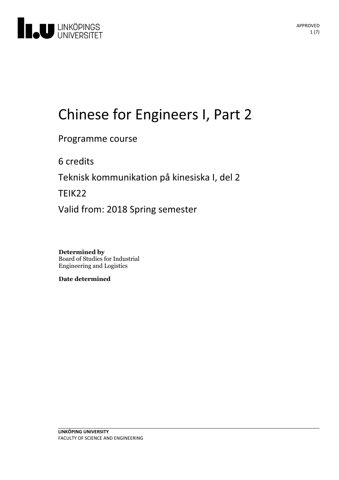

# Chinese for Engineers I, Part 2

Programme course

6 credits

Teknisk kommunikation på kinesiska I, del 2

TEIK22

Valid from: 2018 Spring semester

**Determined by** Board of Studies for Industrial Engineering and Logistics

**Date determined**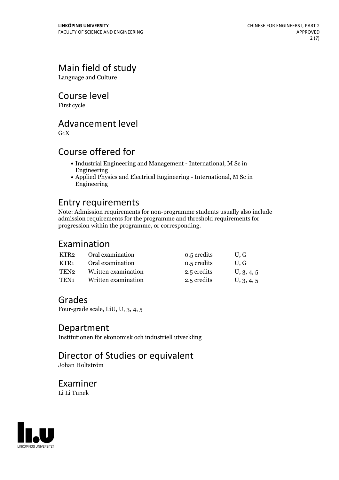# Main field of study

Language and Culture

Course level

First cycle

# Advancement level

 $G_1X$ 

# Course offered for

- Industrial Engineering and Management International, M Sc in Engineering
- Applied Physics and Electrical Engineering International, M Sc in Engineering

# Entry requirements

Note: Admission requirements for non-programme students usually also include admission requirements for the programme and threshold requirements for progression within the programme, or corresponding.

## Examination

| KTR2             | Oral examination    | 0.5 credits | U.G        |
|------------------|---------------------|-------------|------------|
| KTR1             | Oral examination    | 0.5 credits | U.G        |
| TEN2             | Written examination | 2.5 credits | U, 3, 4, 5 |
| TEN <sub>1</sub> | Written examination | 2.5 credits | U, 3, 4, 5 |

### Grades

Four-grade scale, LiU, U, 3, 4, 5

### Department

Institutionen för ekonomisk och industriell utveckling

# Director of Studies or equivalent

Johan Holtström

### Examiner Li Li Tunek

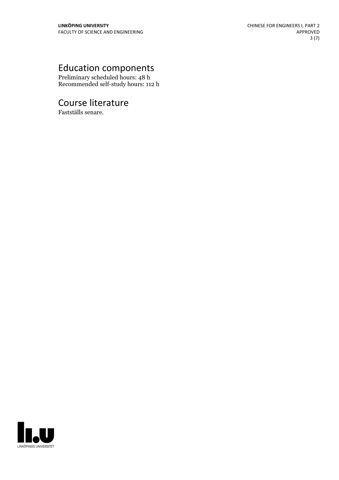# Education components

Preliminary scheduled hours: 48 h Recommended self-study hours: 112 h

# Course literature

Fastställs senare.

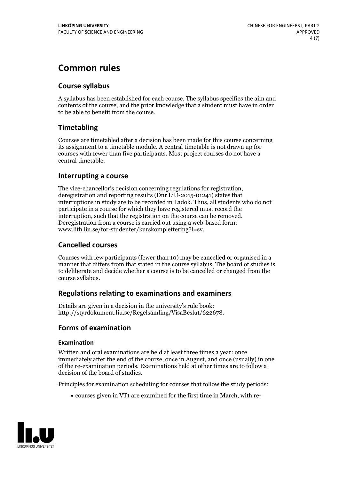# **Common rules**

### **Course syllabus**

A syllabus has been established for each course. The syllabus specifies the aim and contents of the course, and the prior knowledge that a student must have in order to be able to benefit from the course.

### **Timetabling**

Courses are timetabled after a decision has been made for this course concerning its assignment to a timetable module. A central timetable is not drawn up for courses with fewer than five participants. Most project courses do not have a central timetable.

### **Interrupting a course**

The vice-chancellor's decision concerning regulations for registration, deregistration and reporting results (Dnr LiU-2015-01241) states that interruptions in study are to be recorded in Ladok. Thus, all students who do not participate in a course for which they have registered must record the interruption, such that the registration on the course can be removed. Deregistration from <sup>a</sup> course is carried outusing <sup>a</sup> web-based form: www.lith.liu.se/for-studenter/kurskomplettering?l=sv.

### **Cancelled courses**

Courses with few participants (fewer than 10) may be cancelled or organised in a manner that differs from that stated in the course syllabus. The board of studies is to deliberate and decide whether a course is to be cancelled orchanged from the course syllabus.

### **Regulations relatingto examinations and examiners**

Details are given in a decision in the university's rule book: http://styrdokument.liu.se/Regelsamling/VisaBeslut/622678.

### **Forms of examination**

### **Examination**

Written and oral examinations are held at least three times a year: once immediately after the end of the course, once in August, and once (usually) in one of the re-examination periods. Examinations held at other times are to follow a decision of the board of studies.

Principles for examination scheduling for courses that follow the study periods:

courses given in VT1 are examined for the first time in March, with re-

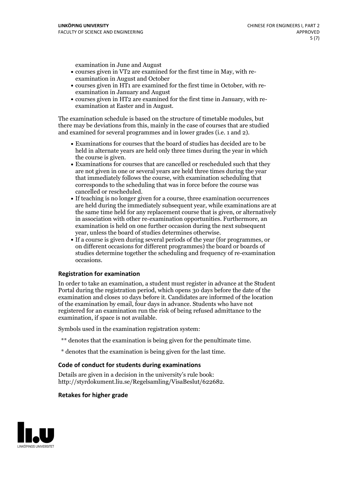examination in June and August

- courses given in VT2 are examined for the first time in May, with re-examination in August and October
- courses given in HT1 are examined for the first time in October, with re-examination in January and August
- courses given in HT2 are examined for the first time in January, with re-examination at Easter and in August.

The examination schedule is based on the structure of timetable modules, but there may be deviations from this, mainly in the case of courses that are studied and examined for several programmes and in lower grades (i.e. 1 and 2).

- Examinations for courses that the board of studies has decided are to be held in alternate years are held only three times during the year in which
- the course is given.<br>• Examinations for courses that are cancelled or rescheduled such that they are not given in one or several years are held three times during the year that immediately follows the course, with examination scheduling that corresponds to the scheduling that was in force before the course was cancelled or rescheduled.<br>• If teaching is no longer given for a course, three examination occurrences
- are held during the immediately subsequent year, while examinations are at the same time held for any replacement course that is given, or alternatively in association with other re-examination opportunities. Furthermore, an examination is held on one further occasion during the next subsequent year, unless the board of studies determines otherwise.<br>• If a course is given during several periods of the year (for programmes, or
- on different occasions for different programmes) the board orboards of studies determine together the scheduling and frequency of re-examination occasions.

#### **Registration for examination**

In order to take an examination, a student must register in advance at the Student Portal during the registration period, which opens 30 days before the date of the examination and closes 10 days before it. Candidates are informed of the location of the examination by email, four days in advance. Students who have not registered for an examination run the risk of being refused admittance to the examination, if space is not available.

Symbols used in the examination registration system:

- \*\* denotes that the examination is being given for the penultimate time.
- \* denotes that the examination is being given for the last time.

#### **Code of conduct for students during examinations**

Details are given in a decision in the university's rule book: http://styrdokument.liu.se/Regelsamling/VisaBeslut/622682.

#### **Retakes for higher grade**

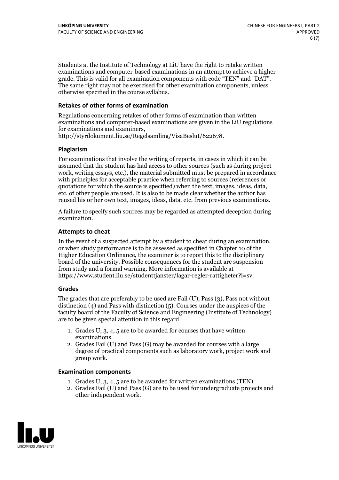Students at the Institute of Technology at LiU have the right to retake written examinations and computer-based examinations in an attempt to achieve a higher grade. This is valid for all examination components with code "TEN" and "DAT". The same right may not be exercised for other examination components, unless otherwise specified in the course syllabus.

#### **Retakes of other forms of examination**

Regulations concerning retakes of other forms of examination than written examinations and computer-based examinations are given in the LiU regulations for examinations and examiners, http://styrdokument.liu.se/Regelsamling/VisaBeslut/622678.

#### **Plagiarism**

For examinations that involve the writing of reports, in cases in which it can be assumed that the student has had access to other sources (such as during project work, writing essays, etc.), the material submitted must be prepared in accordance with principles for acceptable practice when referring to sources (references or quotations for which the source is specified) when the text, images, ideas, data, etc. of other people are used. It is also to be made clear whether the author has reused his or her own text, images, ideas, data, etc. from previous examinations.

A failure to specify such sources may be regarded as attempted deception during examination.

#### **Attempts to cheat**

In the event of <sup>a</sup> suspected attempt by <sup>a</sup> student to cheat during an examination, or when study performance is to be assessed as specified in Chapter <sup>10</sup> of the Higher Education Ordinance, the examiner is to report this to the disciplinary board of the university. Possible consequences for the student are suspension from study and a formal warning. More information is available at https://www.student.liu.se/studenttjanster/lagar-regler-rattigheter?l=sv.

#### **Grades**

The grades that are preferably to be used are Fail (U), Pass (3), Pass not without distinction  $(4)$  and Pass with distinction  $(5)$ . Courses under the auspices of the faculty board of the Faculty of Science and Engineering (Institute of Technology) are to be given special attention in this regard.

- 1. Grades U, 3, 4, 5 are to be awarded for courses that have written
- examinations. 2. Grades Fail (U) and Pass (G) may be awarded for courses with <sup>a</sup> large degree of practical components such as laboratory work, project work and group work.

#### **Examination components**

- 
- 1. Grades U, 3, 4, <sup>5</sup> are to be awarded for written examinations (TEN). 2. Grades Fail (U) and Pass (G) are to be used for undergraduate projects and other independent work.